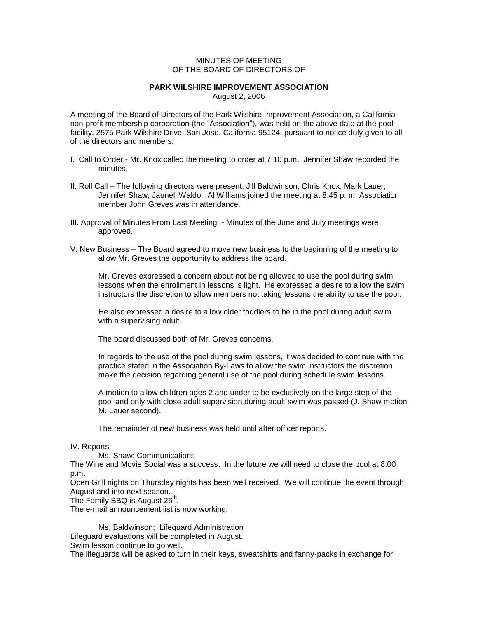## MINUTES OF MEETING OF THE BOARD OF DIRECTORS OF

## **PARK WILSHIRE IMPROVEMENT ASSOCIATION**

August 2, 2006

A meeting of the Board of Directors of the Park Wilshire Improvement Association, a California non-profit membership corporation (the "Association"), was held on the above date at the pool facility, 2575 Park Wilshire Drive, San Jose, California 95124, pursuant to notice duly given to all of the directors and members.

- I. Call to Order Mr. Knox called the meeting to order at 7:10 p.m. Jennifer Shaw recorded the minutes.
- II. Roll Call The following directors were present: Jill Baldwinson, Chris Knox, Mark Lauer, Jennifer Shaw, Jaunell Waldo. Al Williams joined the meeting at 8:45 p.m. Association member John Greves was in attendance.
- III. Approval of Minutes From Last Meeting Minutes of the June and July meetings were approved.
- V. New Business The Board agreed to move new business to the beginning of the meeting to allow Mr. Greves the opportunity to address the board.

Mr. Greves expressed a concern about not being allowed to use the pool during swim lessons when the enrollment in lessons is light. He expressed a desire to allow the swim instructors the discretion to allow members not taking lessons the ability to use the pool.

He also expressed a desire to allow older toddlers to be in the pool during adult swim with a supervising adult.

The board discussed both of Mr. Greves concerns.

In regards to the use of the pool during swim lessons, it was decided to continue with the practice stated in the Association By-Laws to allow the swim instructors the discretion make the decision regarding general use of the pool during schedule swim lessons.

A motion to allow children ages 2 and under to be exclusively on the large step of the pool and only with close adult supervision during adult swim was passed (J. Shaw motion, M. Lauer second).

The remainder of new business was held until after officer reports.

## IV. Reports

Ms. Shaw: Communications

The Wine and Movie Social was a success. In the future we will need to close the pool at 8:00 p.m.

Open Grill nights on Thursday nights has been well received. We will continue the event through August and into next season.

The Family BBQ is August 26<sup>th</sup>.

The e-mail announcement list is now working.

Ms. Baldwinson; Lifeguard Administration Lifeguard evaluations will be completed in August. Swim lesson continue to go well.

The lifeguards will be asked to turn in their keys, sweatshirts and fanny-packs in exchange for